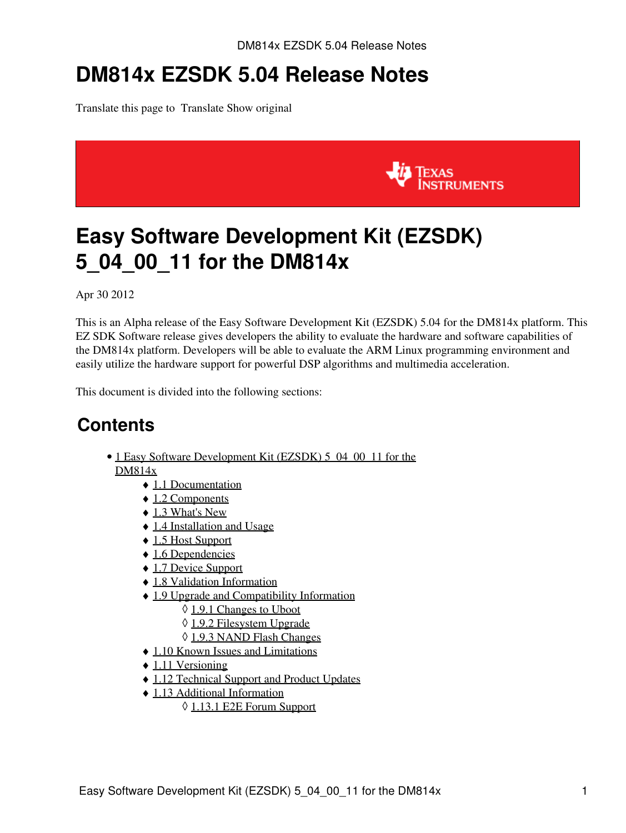# **DM814x EZSDK 5.04 Release Notes**

Translate this page to Translate Show original



# <span id="page-0-0"></span>**Easy Software Development Kit (EZSDK) 5\_04\_00\_11 for the DM814x**

Apr 30 2012

This is an Alpha release of the Easy Software Development Kit (EZSDK) 5.04 for the DM814x platform. This EZ SDK Software release gives developers the ability to evaluate the hardware and software capabilities of the DM814x platform. Developers will be able to evaluate the ARM Linux programming environment and easily utilize the hardware support for powerful DSP algorithms and multimedia acceleration.

This document is divided into the following sections:

### **Contents**

- 1 Easy Software Development Kit (EZSDK) 5 04 00 11 for the [DM814x](#page-0-0)
	- ♦ [1.1 Documentation](#page-1-0)
	- ◆ [1.2 Components](#page-1-1)
	- $\triangleleft$  [1.3 What's New](#page-2-0)
	- ♦ [1.4 Installation and Usage](#page-2-1)
	- ♦ [1.5 Host Support](#page-2-2)
	- ◆ [1.6 Dependencies](#page-2-3)
	- ♦ [1.7 Device Support](#page-2-4)
	- ♦ [1.8 Validation Information](#page-2-5)
	- [1.9 Upgrade and Compatibility Information](#page-2-6)
		- ◊ [1.9.1 Changes to Uboot](#page-3-0)
		- ◊ [1.9.2 Filesystem Upgrade](#page-3-1)
		- ◊ [1.9.3 NAND Flash Changes](#page-3-2)
	- ♦ [1.10 Known Issues and Limitations](#page-3-3)
	- $\triangleleft$  [1.11 Versioning](#page-4-0)
	- ♦ [1.12 Technical Support and Product Updates](#page-4-1)
	- [1.13 Additional Information](#page-4-2) ♦
		- ◊ [1.13.1 E2E Forum Support](#page-4-3)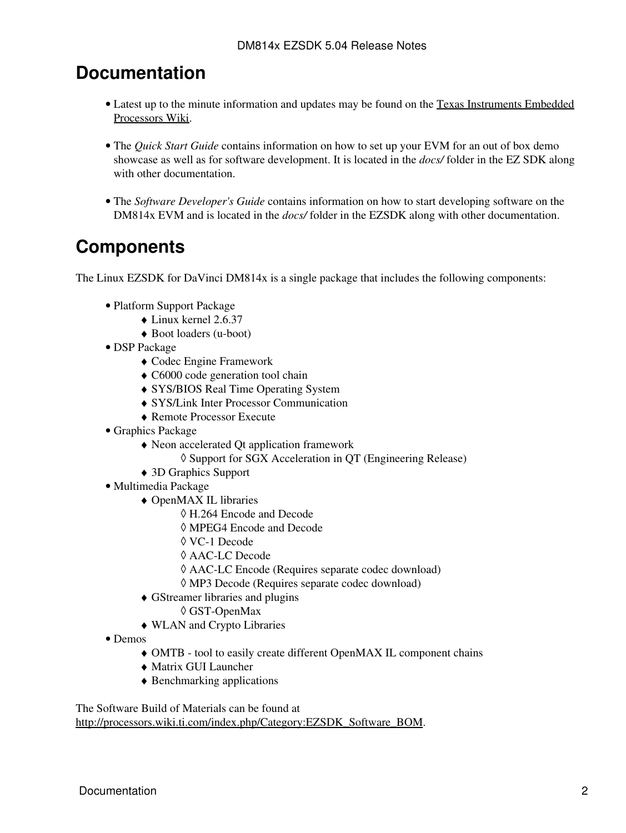### <span id="page-1-0"></span>**Documentation**

- Latest up to the minute information and updates may be found on the [Texas Instruments Embedded](http://processors.wiki.ti.com/index.php/Main_Page) [Processors Wiki.](http://processors.wiki.ti.com/index.php/Main_Page)
- The *Quick Start Guide* contains information on how to set up your EVM for an out of box demo showcase as well as for software development. It is located in the *docs/* folder in the EZ SDK along with other documentation.
- The *Software Developer's Guide* contains information on how to start developing software on the DM814x EVM and is located in the *docs/* folder in the EZSDK along with other documentation.

## <span id="page-1-1"></span>**Components**

The Linux EZSDK for DaVinci DM814x is a single package that includes the following components:

- Platform Support Package
	- ♦ Linux kernel 2.6.37
	- ♦ Boot loaders (u-boot)
- DSP Package
	- ♦ Codec Engine Framework
	- ♦ C6000 code generation tool chain
	- ♦ SYS/BIOS Real Time Operating System
	- ♦ SYS/Link Inter Processor Communication
	- ♦ Remote Processor Execute
- Graphics Package
	- Neon accelerated Qt application framework ♦
		- ◊ Support for SGX Acceleration in QT (Engineering Release)
	- ♦ 3D Graphics Support
- Multimedia Package
	- OpenMAX IL libraries ♦
		- ◊ H.264 Encode and Decode
		- ◊ MPEG4 Encode and Decode
		- ◊ VC-1 Decode
		- ◊ AAC-LC Decode
		- ◊ AAC-LC Encode (Requires separate codec download)
		- ◊ MP3 Decode (Requires separate codec download)
	- GStreamer libraries and plugins ♦
		- ◊ GST-OpenMax
	- ♦ WLAN and Crypto Libraries
- Demos
	- ♦ OMTB tool to easily create different OpenMAX IL component chains
	- ♦ Matrix GUI Launcher
	- ♦ Benchmarking applications

The Software Build of Materials can be found at

[http://processors.wiki.ti.com/index.php/Category:EZSDK\\_Software\\_BOM.](http://processors.wiki.ti.com/index.php/Category:EZSDK_Software_BOM)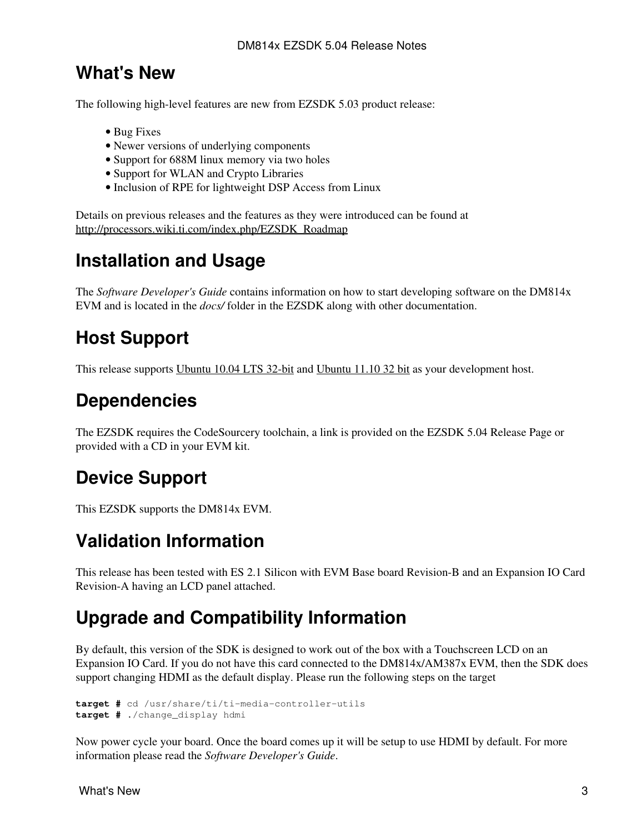### <span id="page-2-0"></span>**What's New**

The following high-level features are new from EZSDK 5.03 product release:

- Bug Fixes
- Newer versions of underlying components
- Support for 688M linux memory via two holes
- Support for WLAN and Crypto Libraries
- Inclusion of RPE for lightweight DSP Access from Linux

Details on previous releases and the features as they were introduced can be found at [http://processors.wiki.ti.com/index.php/EZSDK\\_Roadmap](http://processors.wiki.ti.com/index.php/EZSDK_Roadmap)

### <span id="page-2-1"></span>**Installation and Usage**

The *Software Developer's Guide* contains information on how to start developing software on the DM814x EVM and is located in the *docs/* folder in the EZSDK along with other documentation.

### <span id="page-2-2"></span>**Host Support**

This release supports [Ubuntu 10.04 LTS 32-bit](http://www.ubuntu.com) and [Ubuntu 11.10 32 bit](http://www.ubuntu.com) as your development host.

### <span id="page-2-3"></span>**Dependencies**

The EZSDK requires the CodeSourcery toolchain, a link is provided on the EZSDK 5.04 Release Page or provided with a CD in your EVM kit.

## <span id="page-2-4"></span>**Device Support**

This EZSDK supports the DM814x EVM.

### <span id="page-2-5"></span>**Validation Information**

This release has been tested with ES 2.1 Silicon with EVM Base board Revision-B and an Expansion IO Card Revision-A having an LCD panel attached.

## <span id="page-2-6"></span>**Upgrade and Compatibility Information**

By default, this version of the SDK is designed to work out of the box with a Touchscreen LCD on an Expansion IO Card. If you do not have this card connected to the DM814x/AM387x EVM, then the SDK does support changing HDMI as the default display. Please run the following steps on the target

```
target # cd /usr/share/ti/ti-media-controller-utils
target # ./change_display hdmi
```
Now power cycle your board. Once the board comes up it will be setup to use HDMI by default. For more information please read the *Software Developer's Guide*.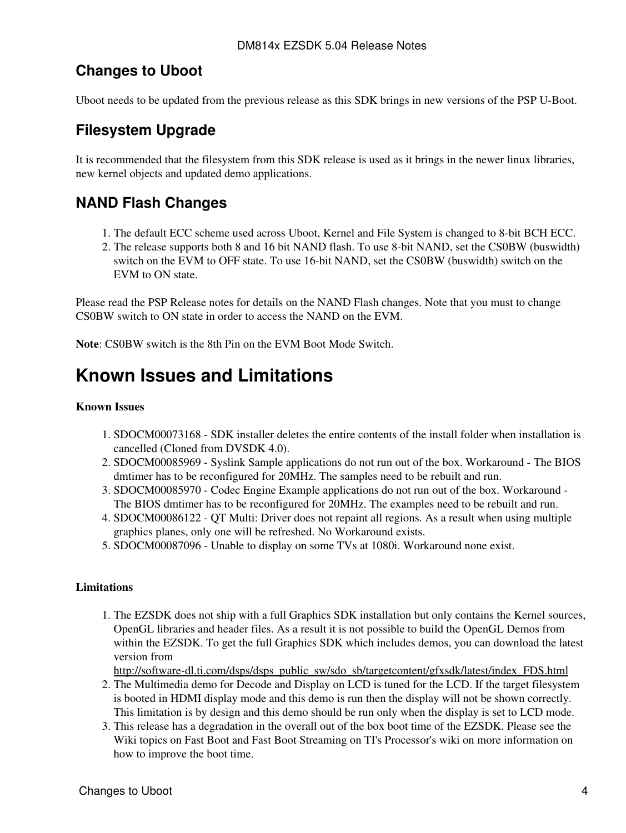### <span id="page-3-0"></span>**Changes to Uboot**

Uboot needs to be updated from the previous release as this SDK brings in new versions of the PSP U-Boot.

### <span id="page-3-1"></span>**Filesystem Upgrade**

It is recommended that the filesystem from this SDK release is used as it brings in the newer linux libraries, new kernel objects and updated demo applications.

### <span id="page-3-2"></span>**NAND Flash Changes**

- 1. The default ECC scheme used across Uboot, Kernel and File System is changed to 8-bit BCH ECC.
- 2. The release supports both 8 and 16 bit NAND flash. To use 8-bit NAND, set the CS0BW (buswidth) switch on the EVM to OFF state. To use 16-bit NAND, set the CS0BW (buswidth) switch on the EVM to ON state.

Please read the PSP Release notes for details on the NAND Flash changes. Note that you must to change CS0BW switch to ON state in order to access the NAND on the EVM.

**Note**: CS0BW switch is the 8th Pin on the EVM Boot Mode Switch.

### <span id="page-3-3"></span>**Known Issues and Limitations**

#### **Known Issues**

- 1. SDOCM00073168 SDK installer deletes the entire contents of the install folder when installation is cancelled (Cloned from DVSDK 4.0).
- 2. SDOCM00085969 Syslink Sample applications do not run out of the box. Workaround The BIOS dmtimer has to be reconfigured for 20MHz. The samples need to be rebuilt and run.
- 3. SDOCM00085970 Codec Engine Example applications do not run out of the box. Workaround -The BIOS dmtimer has to be reconfigured for 20MHz. The examples need to be rebuilt and run.
- 4. SDOCM00086122 QT Multi: Driver does not repaint all regions. As a result when using multiple graphics planes, only one will be refreshed. No Workaround exists.
- 5. SDOCM00087096 Unable to display on some TVs at 1080i. Workaround none exist.

#### **Limitations**

1. The EZSDK does not ship with a full Graphics SDK installation but only contains the Kernel sources, OpenGL libraries and header files. As a result it is not possible to build the OpenGL Demos from within the EZSDK. To get the full Graphics SDK which includes demos, you can download the latest version from

[http://software-dl.ti.com/dsps/dsps\\_public\\_sw/sdo\\_sb/targetcontent/gfxsdk/latest/index\\_FDS.html](http://software-dl.ti.com/dsps/dsps_public_sw/sdo_sb/targetcontent/gfxsdk/latest/index_FDS.html)

- 2. The Multimedia demo for Decode and Display on LCD is tuned for the LCD. If the target filesystem is booted in HDMI display mode and this demo is run then the display will not be shown correctly. This limitation is by design and this demo should be run only when the display is set to LCD mode.
- 3. This release has a degradation in the overall out of the box boot time of the EZSDK. Please see the Wiki topics on Fast Boot and Fast Boot Streaming on TI's Processor's wiki on more information on how to improve the boot time.